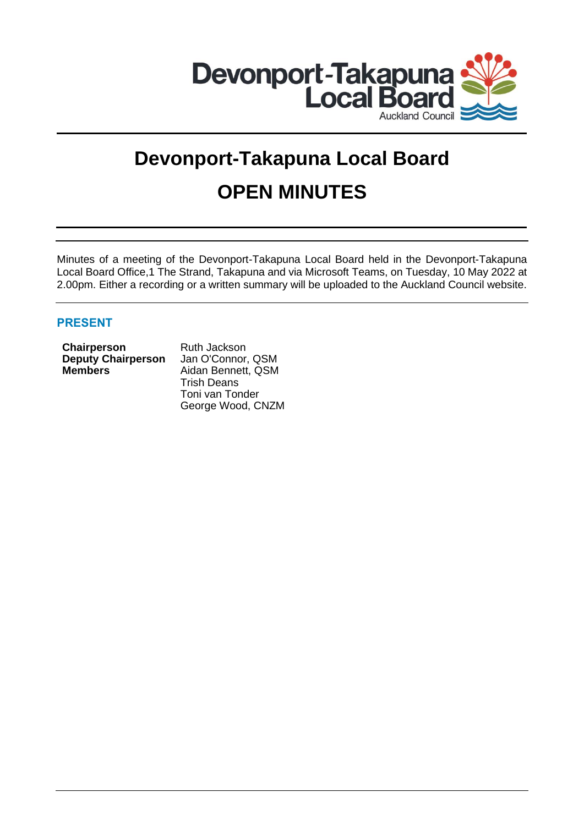

# **Devonport-Takapuna Local Board OPEN MINUTES**

Minutes of a meeting of the Devonport-Takapuna Local Board held in the Devonport-Takapuna Local Board Office,1 The Strand, Takapuna and via Microsoft Teams, on Tuesday, 10 May 2022 at 2.00pm. Either a recording or a written summary will be uploaded to the Auckland Council website.

# **PRESENT**

| Chairperson               |  |
|---------------------------|--|
| <b>Deputy Chairperson</b> |  |
| <b>Members</b>            |  |

**Chairperson** Ruth Jackson Jan O'Connor, QSM **Members** Aidan Bennett, QSM Trish Deans Toni van Tonder George Wood, CNZM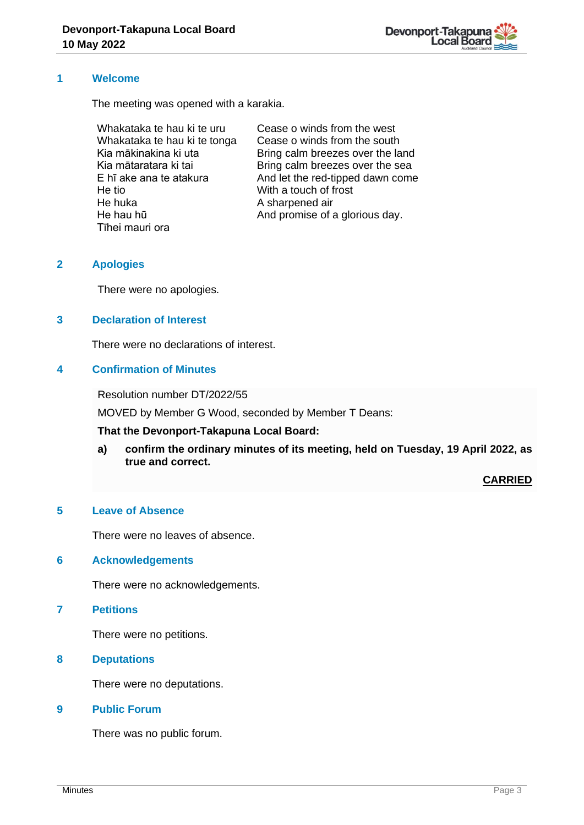

#### **1 Welcome**

The meeting was opened with a karakia.

Whakataka te hau ki te uru Whakataka te hau ki te tonga Kia mākinakina ki uta Kia mātaratara ki tai E hī ake ana te atakura He tio He huka He hau hū Tīhei mauri ora

Cease o winds from the west Cease o winds from the south Bring calm breezes over the land Bring calm breezes over the sea And let the red-tipped dawn come With a touch of frost A sharpened air And promise of a glorious day.

# **2 Apologies**

There were no apologies.

# **3 Declaration of Interest**

There were no declarations of interest.

#### **4 Confirmation of Minutes**

Resolution number DT/2022/55

MOVED by Member G Wood, seconded by Member T Deans:

#### **That the Devonport-Takapuna Local Board:**

**a) confirm the ordinary minutes of its meeting, held on Tuesday, 19 April 2022, as true and correct.**

**CARRIED**

# **5 Leave of Absence**

There were no leaves of absence.

#### **6 Acknowledgements**

There were no acknowledgements.

**7 Petitions**

There were no petitions.

**8 Deputations**

There were no deputations.

### **9 Public Forum**

There was no public forum.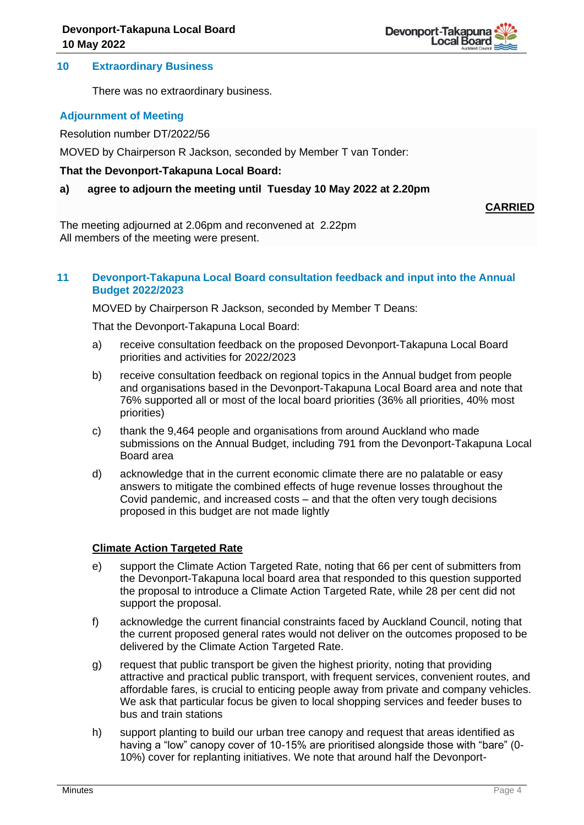#### **10 Extraordinary Business**

There was no extraordinary business.

# **Adjournment of Meeting**

Resolution number DT/2022/56

MOVED by Chairperson R Jackson, seconded by Member T van Tonder:

#### **That the Devonport-Takapuna Local Board:**

### **a) agree to adjourn the meeting until Tuesday 10 May 2022 at 2.20pm**

**CARRIED**

The meeting adjourned at 2.06pm and reconvened at 2.22pm All members of the meeting were present.

### **11 Devonport-Takapuna Local Board consultation feedback and input into the Annual Budget 2022/2023**

MOVED by Chairperson R Jackson, seconded by Member T Deans:

That the Devonport-Takapuna Local Board:

- a) receive consultation feedback on the proposed Devonport-Takapuna Local Board priorities and activities for 2022/2023
- b) receive consultation feedback on regional topics in the Annual budget from people and organisations based in the Devonport-Takapuna Local Board area and note that 76% supported all or most of the local board priorities (36% all priorities, 40% most priorities)
- c) thank the 9,464 people and organisations from around Auckland who made submissions on the Annual Budget, including 791 from the Devonport-Takapuna Local Board area
- d) acknowledge that in the current economic climate there are no palatable or easy answers to mitigate the combined effects of huge revenue losses throughout the Covid pandemic, and increased costs – and that the often very tough decisions proposed in this budget are not made lightly

# **Climate Action Targeted Rate**

- e) support the Climate Action Targeted Rate, noting that 66 per cent of submitters from the Devonport-Takapuna local board area that responded to this question supported the proposal to introduce a Climate Action Targeted Rate, while 28 per cent did not support the proposal.
- f) acknowledge the current financial constraints faced by Auckland Council, noting that the current proposed general rates would not deliver on the outcomes proposed to be delivered by the Climate Action Targeted Rate.
- g) request that public transport be given the highest priority, noting that providing attractive and practical public transport, with frequent services, convenient routes, and affordable fares, is crucial to enticing people away from private and company vehicles. We ask that particular focus be given to local shopping services and feeder buses to bus and train stations
- h) support planting to build our urban tree canopy and request that areas identified as having a "low" canopy cover of 10-15% are prioritised alongside those with "bare" (0- 10%) cover for replanting initiatives. We note that around half the Devonport-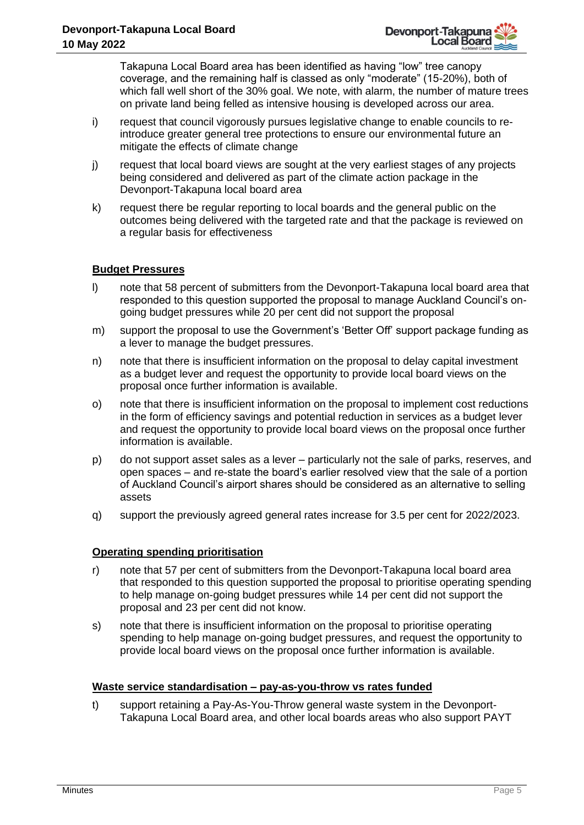Takapuna Local Board area has been identified as having "low" tree canopy coverage, and the remaining half is classed as only "moderate" (15-20%), both of which fall well short of the 30% goal. We note, with alarm, the number of mature trees on private land being felled as intensive housing is developed across our area.

- i) request that council vigorously pursues legislative change to enable councils to reintroduce greater general tree protections to ensure our environmental future an mitigate the effects of climate change
- j) request that local board views are sought at the very earliest stages of any projects being considered and delivered as part of the climate action package in the Devonport-Takapuna local board area
- k) request there be regular reporting to local boards and the general public on the outcomes being delivered with the targeted rate and that the package is reviewed on a regular basis for effectiveness

# **Budget Pressures**

- l) note that 58 percent of submitters from the Devonport-Takapuna local board area that responded to this question supported the proposal to manage Auckland Council's ongoing budget pressures while 20 per cent did not support the proposal
- m) support the proposal to use the Government's 'Better Off' support package funding as a lever to manage the budget pressures.
- n) note that there is insufficient information on the proposal to delay capital investment as a budget lever and request the opportunity to provide local board views on the proposal once further information is available.
- o) note that there is insufficient information on the proposal to implement cost reductions in the form of efficiency savings and potential reduction in services as a budget lever and request the opportunity to provide local board views on the proposal once further information is available.
- p) do not support asset sales as a lever particularly not the sale of parks, reserves, and open spaces – and re-state the board's earlier resolved view that the sale of a portion of Auckland Council's airport shares should be considered as an alternative to selling assets
- q) support the previously agreed general rates increase for 3.5 per cent for 2022/2023.

# **Operating spending prioritisation**

- r) note that 57 per cent of submitters from the Devonport-Takapuna local board area that responded to this question supported the proposal to prioritise operating spending to help manage on-going budget pressures while 14 per cent did not support the proposal and 23 per cent did not know.
- s) note that there is insufficient information on the proposal to prioritise operating spending to help manage on-going budget pressures, and request the opportunity to provide local board views on the proposal once further information is available.

# **Waste service standardisation – pay-as-you-throw vs rates funded**

t) support retaining a Pay-As-You-Throw general waste system in the Devonport-Takapuna Local Board area, and other local boards areas who also support PAYT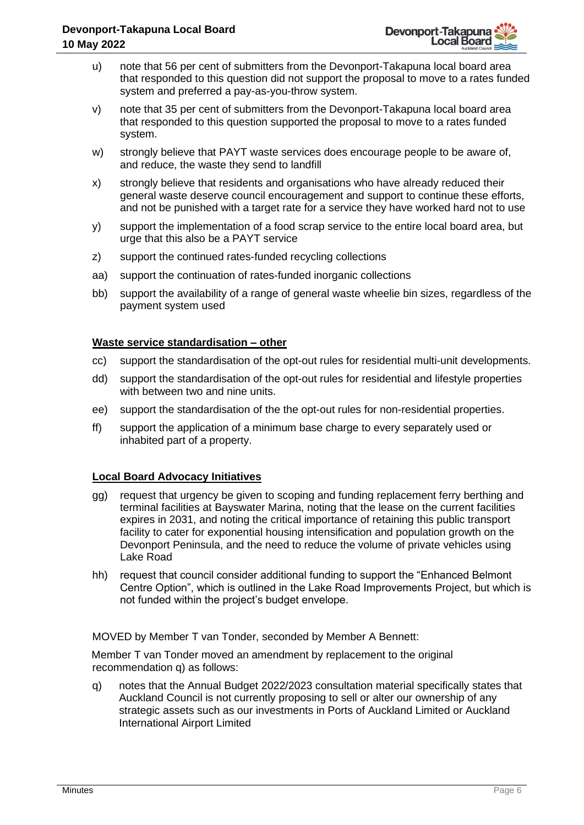- u) note that 56 per cent of submitters from the Devonport-Takapuna local board area that responded to this question did not support the proposal to move to a rates funded system and preferred a pay-as-you-throw system.
- v) note that 35 per cent of submitters from the Devonport-Takapuna local board area that responded to this question supported the proposal to move to a rates funded system.
- w) strongly believe that PAYT waste services does encourage people to be aware of, and reduce, the waste they send to landfill
- x) strongly believe that residents and organisations who have already reduced their general waste deserve council encouragement and support to continue these efforts, and not be punished with a target rate for a service they have worked hard not to use
- y) support the implementation of a food scrap service to the entire local board area, but urge that this also be a PAYT service
- z) support the continued rates-funded recycling collections
- aa) support the continuation of rates-funded inorganic collections
- bb) support the availability of a range of general waste wheelie bin sizes, regardless of the payment system used

#### **Waste service standardisation – other**

- cc) support the standardisation of the opt-out rules for residential multi-unit developments.
- dd) support the standardisation of the opt-out rules for residential and lifestyle properties with between two and nine units.
- ee) support the standardisation of the the opt-out rules for non-residential properties.
- ff) support the application of a minimum base charge to every separately used or inhabited part of a property.

# **Local Board Advocacy Initiatives**

- gg) request that urgency be given to scoping and funding replacement ferry berthing and terminal facilities at Bayswater Marina, noting that the lease on the current facilities expires in 2031, and noting the critical importance of retaining this public transport facility to cater for exponential housing intensification and population growth on the Devonport Peninsula, and the need to reduce the volume of private vehicles using Lake Road
- hh) request that council consider additional funding to support the "Enhanced Belmont Centre Option", which is outlined in the Lake Road Improvements Project, but which is not funded within the project's budget envelope.

MOVED by Member T van Tonder, seconded by Member A Bennett:

Member T van Tonder moved an amendment by replacement to the original recommendation q) as follows:

q) notes that the Annual Budget 2022/2023 consultation material specifically states that Auckland Council is not currently proposing to sell or alter our ownership of any strategic assets such as our investments in Ports of Auckland Limited or Auckland International Airport Limited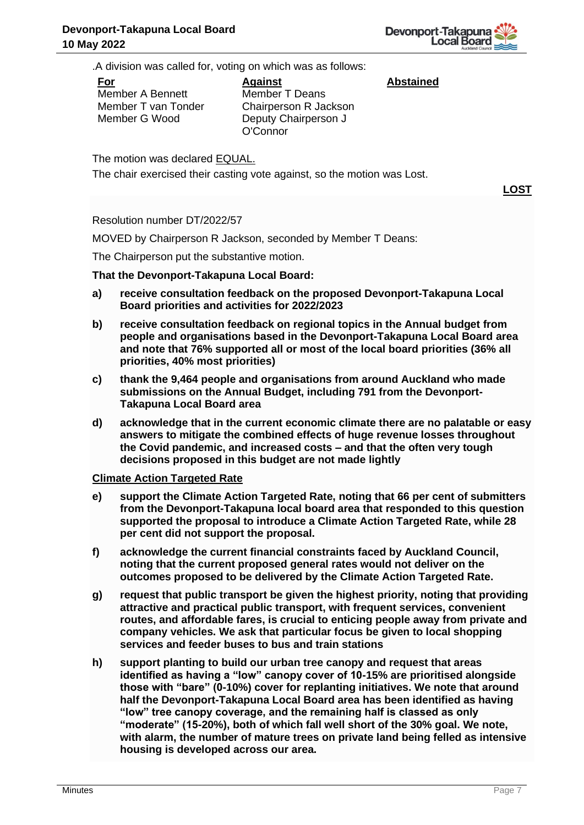**Abstained**

.A division was called for, voting on which was as follows:

**For**

Member A Bennett Member T van Tonder Member G Wood

**Against** Member T Deans Chairperson R Jackson Deputy Chairperson J O'Connor

The motion was declared EQUAL.

The chair exercised their casting vote against, so the motion was Lost.

**LOST**

Resolution number DT/2022/57

MOVED by Chairperson R Jackson, seconded by Member T Deans:

The Chairperson put the substantive motion.

# **That the Devonport-Takapuna Local Board:**

- **a) receive consultation feedback on the proposed Devonport-Takapuna Local Board priorities and activities for 2022/2023**
- **b) receive consultation feedback on regional topics in the Annual budget from people and organisations based in the Devonport-Takapuna Local Board area and note that 76% supported all or most of the local board priorities (36% all priorities, 40% most priorities)**
- **c) thank the 9,464 people and organisations from around Auckland who made submissions on the Annual Budget, including 791 from the Devonport-Takapuna Local Board area**
- **d) acknowledge that in the current economic climate there are no palatable or easy answers to mitigate the combined effects of huge revenue losses throughout the Covid pandemic, and increased costs – and that the often very tough decisions proposed in this budget are not made lightly**

# **Climate Action Targeted Rate**

- **e) support the Climate Action Targeted Rate, noting that 66 per cent of submitters from the Devonport-Takapuna local board area that responded to this question supported the proposal to introduce a Climate Action Targeted Rate, while 28 per cent did not support the proposal.**
- **f) acknowledge the current financial constraints faced by Auckland Council, noting that the current proposed general rates would not deliver on the outcomes proposed to be delivered by the Climate Action Targeted Rate.**
- **g) request that public transport be given the highest priority, noting that providing attractive and practical public transport, with frequent services, convenient routes, and affordable fares, is crucial to enticing people away from private and company vehicles. We ask that particular focus be given to local shopping services and feeder buses to bus and train stations**
- **h) support planting to build our urban tree canopy and request that areas identified as having a "low" canopy cover of 10-15% are prioritised alongside those with "bare" (0-10%) cover for replanting initiatives. We note that around half the Devonport-Takapuna Local Board area has been identified as having "low" tree canopy coverage, and the remaining half is classed as only "moderate" (15-20%), both of which fall well short of the 30% goal. We note, with alarm, the number of mature trees on private land being felled as intensive housing is developed across our area.**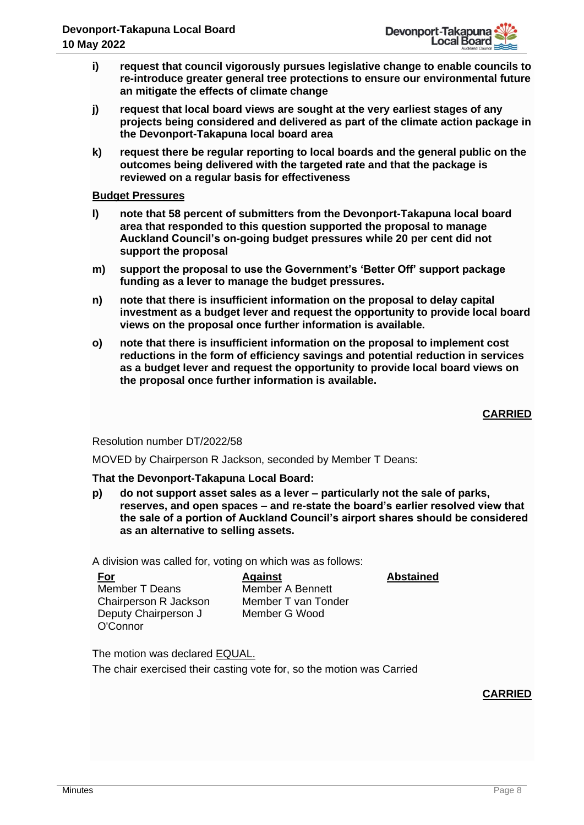- **i) request that council vigorously pursues legislative change to enable councils to re-introduce greater general tree protections to ensure our environmental future an mitigate the effects of climate change**
- **j) request that local board views are sought at the very earliest stages of any projects being considered and delivered as part of the climate action package in the Devonport-Takapuna local board area**
- **k) request there be regular reporting to local boards and the general public on the outcomes being delivered with the targeted rate and that the package is reviewed on a regular basis for effectiveness**

#### **Budget Pressures**

- **l) note that 58 percent of submitters from the Devonport-Takapuna local board area that responded to this question supported the proposal to manage Auckland Council's on-going budget pressures while 20 per cent did not support the proposal**
- **m) support the proposal to use the Government's 'Better Off' support package funding as a lever to manage the budget pressures.**
- **n) note that there is insufficient information on the proposal to delay capital investment as a budget lever and request the opportunity to provide local board views on the proposal once further information is available.**
- **o) note that there is insufficient information on the proposal to implement cost reductions in the form of efficiency savings and potential reduction in services as a budget lever and request the opportunity to provide local board views on the proposal once further information is available.**

# **CARRIED**

# Resolution number DT/2022/58

MOVED by Chairperson R Jackson, seconded by Member T Deans:

#### **That the Devonport-Takapuna Local Board:**

**p) do not support asset sales as a lever – particularly not the sale of parks, reserves, and open spaces – and re-state the board's earlier resolved view that the sale of a portion of Auckland Council's airport shares should be considered as an alternative to selling assets.**

A division was called for, voting on which was as follows:

| For                   |
|-----------------------|
| <b>Member T Deans</b> |
| Chairperson R Jackson |
| Deputy Chairperson J  |
| O'Connor              |

**Against** Member A Bennett Member T van Tonder Member G Wood

**Abstained**

The motion was declared EQUAL.

The chair exercised their casting vote for, so the motion was Carried

# **CARRIED**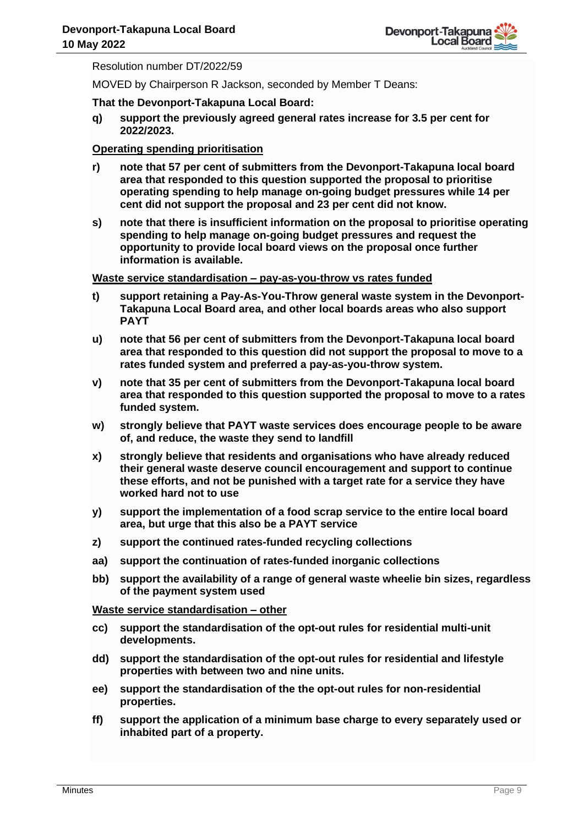Resolution number DT/2022/59

MOVED by Chairperson R Jackson, seconded by Member T Deans:

#### **That the Devonport-Takapuna Local Board:**

**q) support the previously agreed general rates increase for 3.5 per cent for 2022/2023.** 

# **Operating spending prioritisation**

- **r) note that 57 per cent of submitters from the Devonport-Takapuna local board area that responded to this question supported the proposal to prioritise operating spending to help manage on-going budget pressures while 14 per cent did not support the proposal and 23 per cent did not know.**
- **s) note that there is insufficient information on the proposal to prioritise operating spending to help manage on-going budget pressures and request the opportunity to provide local board views on the proposal once further information is available.**

#### **Waste service standardisation – pay-as-you-throw vs rates funded**

- **t) support retaining a Pay-As-You-Throw general waste system in the Devonport-Takapuna Local Board area, and other local boards areas who also support PAYT**
- **u) note that 56 per cent of submitters from the Devonport-Takapuna local board area that responded to this question did not support the proposal to move to a rates funded system and preferred a pay-as-you-throw system.**
- **v) note that 35 per cent of submitters from the Devonport-Takapuna local board area that responded to this question supported the proposal to move to a rates funded system.**
- **w) strongly believe that PAYT waste services does encourage people to be aware of, and reduce, the waste they send to landfill**
- **x) strongly believe that residents and organisations who have already reduced their general waste deserve council encouragement and support to continue these efforts, and not be punished with a target rate for a service they have worked hard not to use**
- **y) support the implementation of a food scrap service to the entire local board area, but urge that this also be a PAYT service**
- **z) support the continued rates-funded recycling collections**
- **aa) support the continuation of rates-funded inorganic collections**
- **bb) support the availability of a range of general waste wheelie bin sizes, regardless of the payment system used**

**Waste service standardisation – other** 

- **cc) support the standardisation of the opt-out rules for residential multi-unit developments.**
- **dd) support the standardisation of the opt-out rules for residential and lifestyle properties with between two and nine units.**
- **ee) support the standardisation of the the opt-out rules for non-residential properties.**
- **ff) support the application of a minimum base charge to every separately used or inhabited part of a property.**